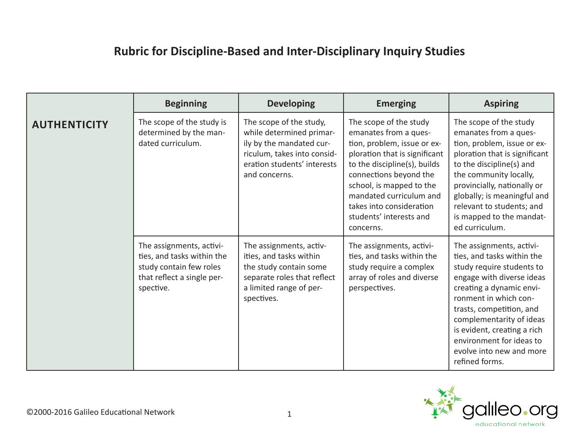## **Rubric for Discipline-Based and Inter-Disciplinary Inquiry Studies**

|                     | <b>Beginning</b>                                                                                                             | <b>Developing</b>                                                                                                                                              | <b>Emerging</b>                                                                                                                                                                                                                                                                                      | <b>Aspiring</b>                                                                                                                                                                                                                                                                                                                        |
|---------------------|------------------------------------------------------------------------------------------------------------------------------|----------------------------------------------------------------------------------------------------------------------------------------------------------------|------------------------------------------------------------------------------------------------------------------------------------------------------------------------------------------------------------------------------------------------------------------------------------------------------|----------------------------------------------------------------------------------------------------------------------------------------------------------------------------------------------------------------------------------------------------------------------------------------------------------------------------------------|
| <b>AUTHENTICITY</b> | The scope of the study is<br>determined by the man-<br>dated curriculum.                                                     | The scope of the study,<br>while determined primar-<br>ily by the mandated cur-<br>riculum, takes into consid-<br>eration students' interests<br>and concerns. | The scope of the study<br>emanates from a ques-<br>tion, problem, issue or ex-<br>ploration that is significant<br>to the discipline(s), builds<br>connections beyond the<br>school, is mapped to the<br>mandated curriculum and<br>takes into consideration<br>students' interests and<br>concerns. | The scope of the study<br>emanates from a ques-<br>tion, problem, issue or ex-<br>ploration that is significant<br>to the discipline(s) and<br>the community locally,<br>provincially, nationally or<br>globally; is meaningful and<br>relevant to students; and<br>is mapped to the mandat-<br>ed curriculum.                         |
|                     | The assignments, activi-<br>ties, and tasks within the<br>study contain few roles<br>that reflect a single per-<br>spective. | The assignments, activ-<br>ities, and tasks within<br>the study contain some<br>separate roles that reflect<br>a limited range of per-<br>spectives.           | The assignments, activi-<br>ties, and tasks within the<br>study require a complex<br>array of roles and diverse<br>perspectives.                                                                                                                                                                     | The assignments, activi-<br>ties, and tasks within the<br>study require students to<br>engage with diverse ideas<br>creating a dynamic envi-<br>ronment in which con-<br>trasts, competition, and<br>complementarity of ideas<br>is evident, creating a rich<br>environment for ideas to<br>evolve into new and more<br>refined forms. |

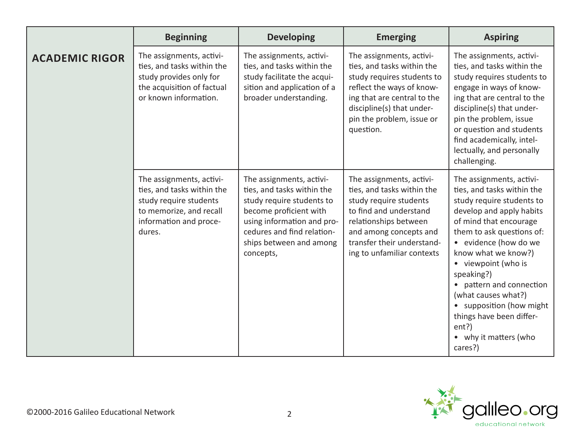|                       | <b>Beginning</b>                                                                                                                                | <b>Developing</b>                                                                                                                                                                                                 | <b>Emerging</b>                                                                                                                                                                                                           | <b>Aspiring</b>                                                                                                                                                                                                                                                                                                                                                                                                     |
|-----------------------|-------------------------------------------------------------------------------------------------------------------------------------------------|-------------------------------------------------------------------------------------------------------------------------------------------------------------------------------------------------------------------|---------------------------------------------------------------------------------------------------------------------------------------------------------------------------------------------------------------------------|---------------------------------------------------------------------------------------------------------------------------------------------------------------------------------------------------------------------------------------------------------------------------------------------------------------------------------------------------------------------------------------------------------------------|
| <b>ACADEMIC RIGOR</b> | The assignments, activi-<br>ties, and tasks within the<br>study provides only for<br>the acquisition of factual<br>or known information.        | The assignments, activi-<br>ties, and tasks within the<br>study facilitate the acqui-<br>sition and application of a<br>broader understanding.                                                                    | The assignments, activi-<br>ties, and tasks within the<br>study requires students to<br>reflect the ways of know-<br>ing that are central to the<br>discipline(s) that under-<br>pin the problem, issue or<br>question.   | The assignments, activi-<br>ties, and tasks within the<br>study requires students to<br>engage in ways of know-<br>ing that are central to the<br>discipline(s) that under-<br>pin the problem, issue<br>or question and students<br>find academically, intel-<br>lectually, and personally<br>challenging.                                                                                                         |
|                       | The assignments, activi-<br>ties, and tasks within the<br>study require students<br>to memorize, and recall<br>information and proce-<br>dures. | The assignments, activi-<br>ties, and tasks within the<br>study require students to<br>become proficient with<br>using information and pro-<br>cedures and find relation-<br>ships between and among<br>concepts, | The assignments, activi-<br>ties, and tasks within the<br>study require students<br>to find and understand<br>relationships between<br>and among concepts and<br>transfer their understand-<br>ing to unfamiliar contexts | The assignments, activi-<br>ties, and tasks within the<br>study require students to<br>develop and apply habits<br>of mind that encourage<br>them to ask questions of:<br>• evidence (how do we<br>know what we know?)<br>• viewpoint (who is<br>speaking?)<br>• pattern and connection<br>(what causes what?)<br>• supposition (how might<br>things have been differ-<br>ent?)<br>• why it matters (who<br>cares?) |

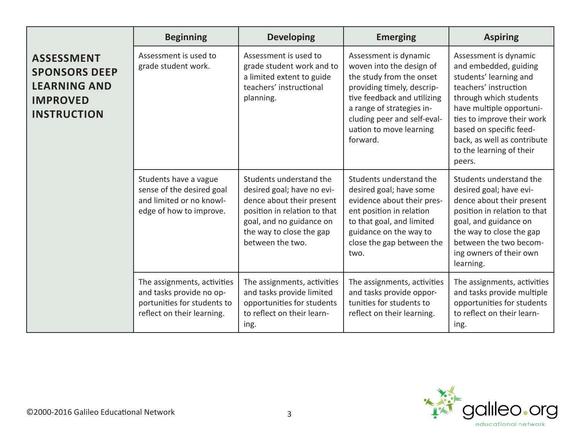|                                                                                                           | <b>Beginning</b>                                                                                                     | <b>Developing</b>                                                                                                                                                                              | <b>Emerging</b>                                                                                                                                                                                                                               | <b>Aspiring</b>                                                                                                                                                                                                                                                                       |
|-----------------------------------------------------------------------------------------------------------|----------------------------------------------------------------------------------------------------------------------|------------------------------------------------------------------------------------------------------------------------------------------------------------------------------------------------|-----------------------------------------------------------------------------------------------------------------------------------------------------------------------------------------------------------------------------------------------|---------------------------------------------------------------------------------------------------------------------------------------------------------------------------------------------------------------------------------------------------------------------------------------|
| <b>ASSESSMENT</b><br><b>SPONSORS DEEP</b><br><b>LEARNING AND</b><br><b>IMPROVED</b><br><b>INSTRUCTION</b> | Assessment is used to<br>grade student work.                                                                         | Assessment is used to<br>grade student work and to<br>a limited extent to guide<br>teachers' instructional<br>planning.                                                                        | Assessment is dynamic<br>woven into the design of<br>the study from the onset<br>providing timely, descrip-<br>tive feedback and utilizing<br>a range of strategies in-<br>cluding peer and self-eval-<br>uation to move learning<br>forward. | Assessment is dynamic<br>and embedded, guiding<br>students' learning and<br>teachers' instruction<br>through which students<br>have multiple opportuni-<br>ties to improve their work<br>based on specific feed-<br>back, as well as contribute<br>to the learning of their<br>peers. |
|                                                                                                           | Students have a vague<br>sense of the desired goal<br>and limited or no knowl-<br>edge of how to improve.            | Students understand the<br>desired goal; have no evi-<br>dence about their present<br>position in relation to that<br>goal, and no guidance on<br>the way to close the gap<br>between the two. | Students understand the<br>desired goal; have some<br>evidence about their pres-<br>ent position in relation<br>to that goal, and limited<br>guidance on the way to<br>close the gap between the<br>two.                                      | Students understand the<br>desired goal; have evi-<br>dence about their present<br>position in relation to that<br>goal, and guidance on<br>the way to close the gap<br>between the two becom-<br>ing owners of their own<br>learning.                                                |
|                                                                                                           | The assignments, activities<br>and tasks provide no op-<br>portunities for students to<br>reflect on their learning. | The assignments, activities<br>and tasks provide limited<br>opportunities for students<br>to reflect on their learn-<br>ing.                                                                   | The assignments, activities<br>and tasks provide oppor-<br>tunities for students to<br>reflect on their learning.                                                                                                                             | The assignments, activities<br>and tasks provide multiple<br>opportunities for students<br>to reflect on their learn-<br>ing.                                                                                                                                                         |

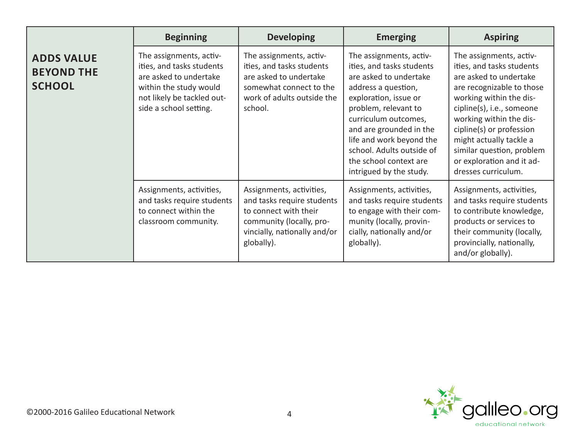|                                                         | <b>Beginning</b>                                                                                                                                                 | <b>Developing</b>                                                                                                                                         | <b>Emerging</b>                                                                                                                                                                                                                                                                                                         | <b>Aspiring</b>                                                                                                                                                                                                                                                                                                                        |
|---------------------------------------------------------|------------------------------------------------------------------------------------------------------------------------------------------------------------------|-----------------------------------------------------------------------------------------------------------------------------------------------------------|-------------------------------------------------------------------------------------------------------------------------------------------------------------------------------------------------------------------------------------------------------------------------------------------------------------------------|----------------------------------------------------------------------------------------------------------------------------------------------------------------------------------------------------------------------------------------------------------------------------------------------------------------------------------------|
| <b>ADDS VALUE</b><br><b>BEYOND THE</b><br><b>SCHOOL</b> | The assignments, activ-<br>ities, and tasks students<br>are asked to undertake<br>within the study would<br>not likely be tackled out-<br>side a school setting. | The assignments, activ-<br>ities, and tasks students<br>are asked to undertake<br>somewhat connect to the<br>work of adults outside the<br>school.        | The assignments, activ-<br>ities, and tasks students<br>are asked to undertake<br>address a question,<br>exploration, issue or<br>problem, relevant to<br>curriculum outcomes,<br>and are grounded in the<br>life and work beyond the<br>school. Adults outside of<br>the school context are<br>intrigued by the study. | The assignments, activ-<br>ities, and tasks students<br>are asked to undertake<br>are recognizable to those<br>working within the dis-<br>cipline(s), i.e., someone<br>working within the dis-<br>cipline(s) or profession<br>might actually tackle a<br>similar question, problem<br>or exploration and it ad-<br>dresses curriculum. |
|                                                         | Assignments, activities,<br>and tasks require students<br>to connect within the<br>classroom community.                                                          | Assignments, activities,<br>and tasks require students<br>to connect with their<br>community (locally, pro-<br>vincially, nationally and/or<br>globally). | Assignments, activities,<br>and tasks require students<br>to engage with their com-<br>munity (locally, provin-<br>cially, nationally and/or<br>globally).                                                                                                                                                              | Assignments, activities,<br>and tasks require students<br>to contribute knowledge,<br>products or services to<br>their community (locally,<br>provincially, nationally,<br>and/or globally).                                                                                                                                           |

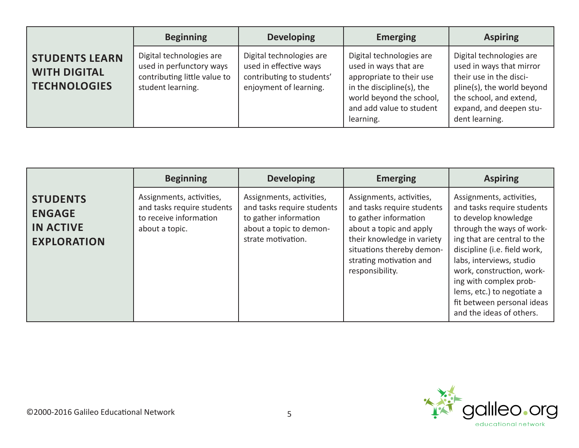|                                                                     | <b>Beginning</b>                                                                                          | <b>Developing</b>                                                                                         | <b>Emerging</b>                                                                                                                                                                 | <b>Aspiring</b>                                                                                                                                                                       |
|---------------------------------------------------------------------|-----------------------------------------------------------------------------------------------------------|-----------------------------------------------------------------------------------------------------------|---------------------------------------------------------------------------------------------------------------------------------------------------------------------------------|---------------------------------------------------------------------------------------------------------------------------------------------------------------------------------------|
| <b>STUDENTS LEARN</b><br><b>WITH DIGITAL</b><br><b>TECHNOLOGIES</b> | Digital technologies are<br>used in perfunctory ways<br>contributing little value to<br>student learning. | Digital technologies are<br>used in effective ways<br>contributing to students'<br>enjoyment of learning. | Digital technologies are<br>used in ways that are<br>appropriate to their use<br>in the discipline(s), the<br>world beyond the school,<br>and add value to student<br>learning. | Digital technologies are<br>used in ways that mirror<br>their use in the disci-<br>pline(s), the world beyond<br>the school, and extend,<br>expand, and deepen stu-<br>dent learning. |

|                                                                            | <b>Beginning</b>                                                                                   | <b>Developing</b>                                                                                                                | <b>Emerging</b>                                                                                                                                                                                                     | <b>Aspiring</b>                                                                                                                                                                                                                                                                                                                                       |
|----------------------------------------------------------------------------|----------------------------------------------------------------------------------------------------|----------------------------------------------------------------------------------------------------------------------------------|---------------------------------------------------------------------------------------------------------------------------------------------------------------------------------------------------------------------|-------------------------------------------------------------------------------------------------------------------------------------------------------------------------------------------------------------------------------------------------------------------------------------------------------------------------------------------------------|
| <b>STUDENTS</b><br><b>ENGAGE</b><br><b>IN ACTIVE</b><br><b>EXPLORATION</b> | Assignments, activities,<br>and tasks require students<br>to receive information<br>about a topic. | Assignments, activities,<br>and tasks require students<br>to gather information<br>about a topic to demon-<br>strate motivation. | Assignments, activities,<br>and tasks require students<br>to gather information<br>about a topic and apply<br>their knowledge in variety<br>situations thereby demon-<br>strating motivation and<br>responsibility. | Assignments, activities,<br>and tasks require students<br>to develop knowledge<br>through the ways of work-<br>ing that are central to the<br>discipline (i.e. field work,<br>labs, interviews, studio<br>work, construction, work-<br>ing with complex prob-<br>lems, etc.) to negotiate a<br>fit between personal ideas<br>and the ideas of others. |

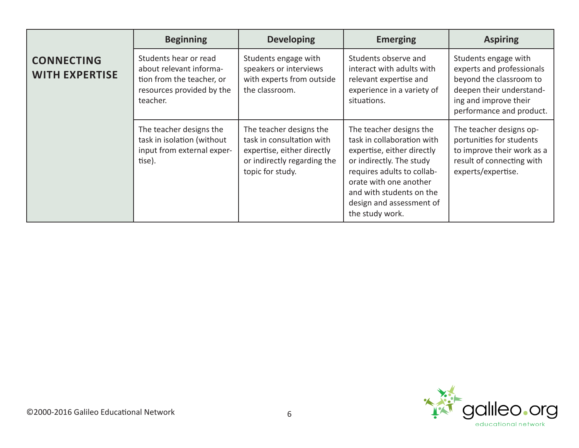|                                            | <b>Beginning</b>                                                                                                       | <b>Developing</b>                                                                                                                     | <b>Emerging</b>                                                                                                                                                                                                                                    | <b>Aspiring</b>                                                                                                                                               |
|--------------------------------------------|------------------------------------------------------------------------------------------------------------------------|---------------------------------------------------------------------------------------------------------------------------------------|----------------------------------------------------------------------------------------------------------------------------------------------------------------------------------------------------------------------------------------------------|---------------------------------------------------------------------------------------------------------------------------------------------------------------|
| <b>CONNECTING</b><br><b>WITH EXPERTISE</b> | Students hear or read<br>about relevant informa-<br>tion from the teacher, or<br>resources provided by the<br>teacher. | Students engage with<br>speakers or interviews<br>with experts from outside<br>the classroom.                                         | Students observe and<br>interact with adults with<br>relevant expertise and<br>experience in a variety of<br>situations.                                                                                                                           | Students engage with<br>experts and professionals<br>beyond the classroom to<br>deepen their understand-<br>ing and improve their<br>performance and product. |
|                                            | The teacher designs the<br>task in isolation (without<br>input from external exper-<br>tise).                          | The teacher designs the<br>task in consultation with<br>expertise, either directly<br>or indirectly regarding the<br>topic for study. | The teacher designs the<br>task in collaboration with<br>expertise, either directly<br>or indirectly. The study<br>requires adults to collab-<br>orate with one another<br>and with students on the<br>design and assessment of<br>the study work. | The teacher designs op-<br>portunities for students<br>to improve their work as a<br>result of connecting with<br>experts/expertise.                          |